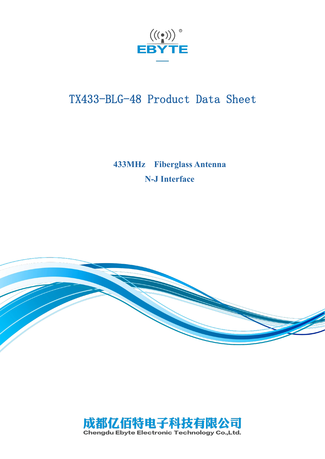

# TX433-BLG-48 Product Data Sheet

**433MHz Fiberglass Antenna N-J Interface**



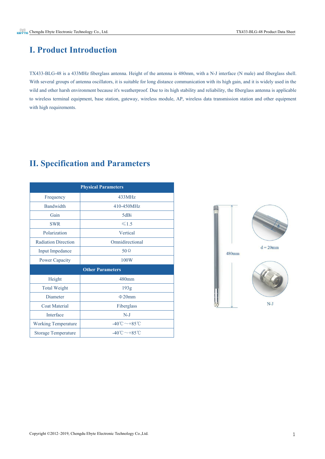#### **I. Product Introduction**

TX433-BLG-48 is a 433MHz fiberglass antenna. Height of the antenna is480mm, with a N-J interface (N male) and fiberglass shell. With several groups of antenna oscillators, it is suitable for long distance communication with its high gain, and it is widely used in the wild and other harsh environment because it's weatherproof. Due to its high stability and reliability, the fiberglass antenna is applicable to wireless terminal equipment, base station, gateway, wireless module, AP, wireless data transmission station and other equipment with high requirements.

# **II. Specification and Parameters**

|                            | <b>Physical Parameters</b>    |
|----------------------------|-------------------------------|
| Frequency                  | 433MHz                        |
| Bandwidth                  | 410-450MHz                    |
| Gain                       | 5dBi                          |
| <b>SWR</b>                 | $\leq 1.5$                    |
| Polarization               | Vertical                      |
| <b>Radiation Direction</b> | Omnidirectional               |
| <b>Input Impedance</b>     | $50\,\Omega$                  |
| <b>Power Capacity</b>      | 100W                          |
|                            | <b>Other Parameters</b>       |
| Height                     | 480mm                         |
| <b>Total Weight</b>        | 193g                          |
| Diameter                   | $\Phi$ 20mm                   |
| <b>Coat Material</b>       | Fiberglass                    |
| Interface                  | $N-J$                         |
| <b>Working Temperature</b> | -40°C $\sim$ +85°C            |
| <b>Storage Temperature</b> | $-40^{\circ}$ C $\sim$ +85 °C |

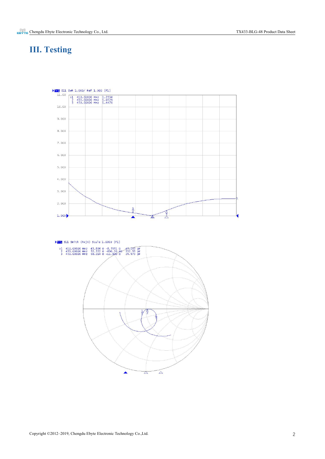### **III. Testing**